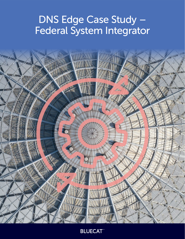# DNS Edge Case Study – Federal System Integrator



**BLUECAT**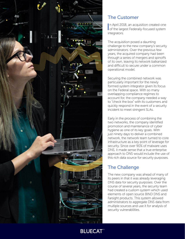

# The Customer

In April 2018, an acquisition created one<br>
of the largest Federally-focused system n April 2018, an acquisition created one integrators.

The acquisition posed a daunting challenge to the new company's security administrators. Over the previous few years, the acquired company had been through a series of mergers and spinoffs of its own, leaving its network balkanized and difficult to secure under a common operational model.

Securing the combined network was particularly important for the newly formed system integrator given its focus on the Federal space. With so many overlapping compliance regimes to account for, the company needed a way to "check the box" with its customers and quickly respond in the event of a security incident to meet stringent SLAs.

Early in the process of combining the two networks, the company identified promotion and maintenance of cyber hygiene as one of its key goals. With just ninety days to deliver a combined network, the network team turned to core infrastructure as a key point of leverage for security. Since over 90% of malware uses DNS, it made sense that a true enterprise approach to DNS would include the use of this rich data source for security purposes.

# The Challenge

The new company was ahead of many of its peers in that it was already leveraging DNS data for security purposes. Over the course of several years, the security team had created a custom system which used elements of open source BIND DNS and Farsight products. This system allowed administrators to aggregate DNS data from multiple sources and use it for analysis of security vulnerabilities.

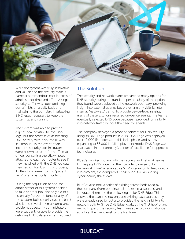

While the system was truly innovative and valuable to the security team, it came at a tremendous cost in terms of administrator time and effort. A single security staffer was stuck updating domain lists on a daily basis and maintaining the complex, interlocking BIND rules necessary to keep the system up and running.

The system was able to provide a great deal of visibility into DNS logs, but the process of associating DNS activity with a source IP was still manual. In the event of an incident, security administrators were known to roam from office to office, consulting the sticky notes attached to each computer to see if they matched with the DNS log data they had on file. Using this process, it often took weeks to find "patient zero" of any particular incident.

During the acquisition period, the administrator of this system decided to take another job. Not only did this essentially freeze the functionality of the custom-built security system, but it also led to several internal compliance problems as security administrators were suddenly unable to provide the definitive DNS data end-users required.

### The Solution

The security and network teams researched many options for DNS security during the transition period. Many of the options they found were deployed at the network boundary, providing insight into external queries but preventing any visibility into internal, "east-west" traffic. To provide device-level insights, many of these solutions required on-device agents. The teams eventually selected DNS Edge because it provided full visibility into network traffic without the need for agents.

The company deployed a proof of concept for DNS security using its DNS Edge product in 2019. DNS Edge was deployed over 10,000 IP addresses in this initial phase, and is now expanding to 35,000 in full deployment mode. DNS Edge was also placed in the company's center of excellence for approved technologies.

BlueCat worked closely with the security and network teams to integrate DNS Edge into their broader cybersecurity framework. BlueCat adapted its SIEM integration to feed directly into ArcSight, the company's chosen tool for monitoring cybersecurity threat data.

BlueCat also took a series of existing threat feeds used by the company (from both internal and external sources) and integrated them into the policy engine for DNS Edge. This allowed the teams to not only use existing data sources they were already used to, but also provided the new visibility into network activity. Since DNS Edge works at the "first hop" of any network query, the security team was able to block malicious activity at the client level for the first time.